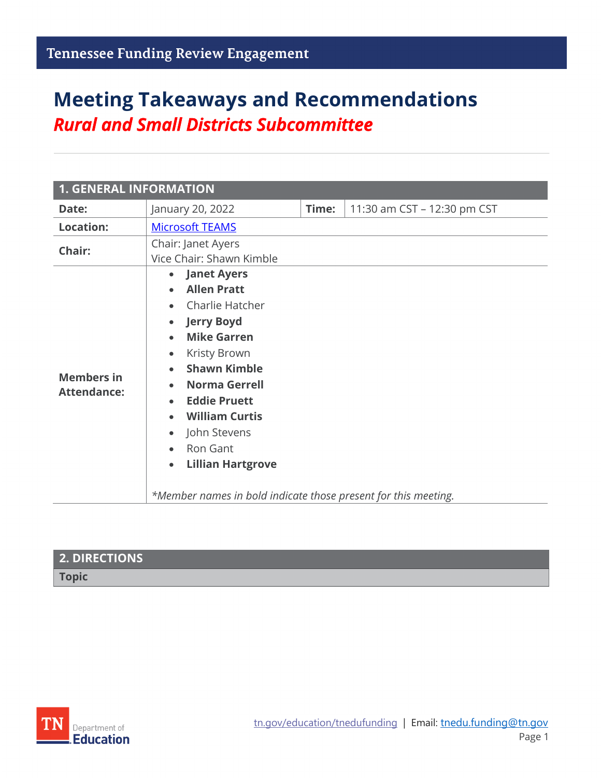# **Meeting Takeaways and Recommendations** *Rural and Small Districts Subcommittee*

| <b>1. GENERAL INFORMATION</b>           |                                                                                                                                                                                                                                                                                                                                                                                                                                                         |       |                             |
|-----------------------------------------|---------------------------------------------------------------------------------------------------------------------------------------------------------------------------------------------------------------------------------------------------------------------------------------------------------------------------------------------------------------------------------------------------------------------------------------------------------|-------|-----------------------------|
| Date:                                   | January 20, 2022                                                                                                                                                                                                                                                                                                                                                                                                                                        | Time: | 11:30 am CST - 12:30 pm CST |
| <b>Location:</b>                        | <b>Microsoft TEAMS</b>                                                                                                                                                                                                                                                                                                                                                                                                                                  |       |                             |
| Chair:                                  | Chair: Janet Ayers<br>Vice Chair: Shawn Kimble                                                                                                                                                                                                                                                                                                                                                                                                          |       |                             |
| <b>Members in</b><br><b>Attendance:</b> | <b>Janet Ayers</b><br>$\bullet$<br><b>Allen Pratt</b><br>$\bullet$<br>Charlie Hatcher<br><b>Jerry Boyd</b><br>$\bullet$<br><b>Mike Garren</b><br>$\bullet$<br>Kristy Brown<br>$\bullet$<br><b>Shawn Kimble</b><br><b>Norma Gerrell</b><br><b>Eddie Pruett</b><br><b>William Curtis</b><br>John Stevens<br>$\bullet$<br>Ron Gant<br>$\bullet$<br><b>Lillian Hartgrove</b><br>$\bullet$<br>*Member names in bold indicate those present for this meeting. |       |                             |

| <b>2. DIRECTIONS</b> |  |
|----------------------|--|
| <b>Topic</b>         |  |
|                      |  |

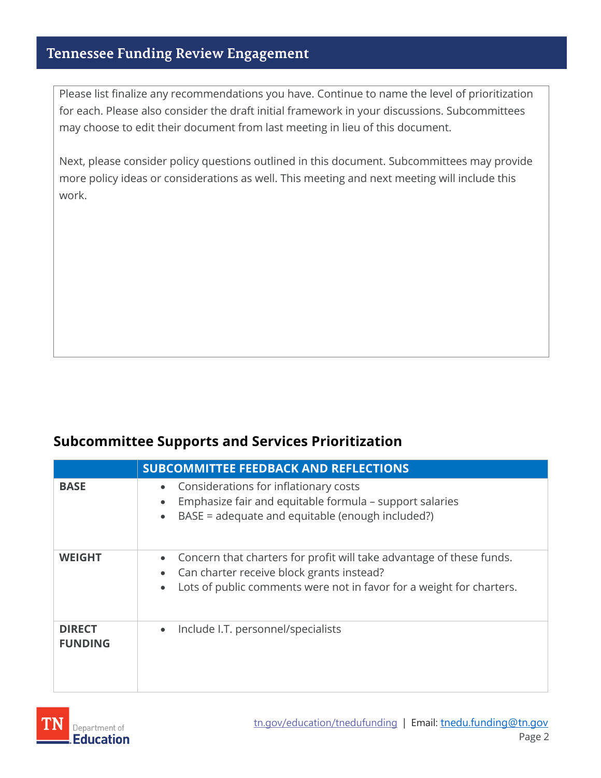#### **Tennessee Funding Review Engagement**

Please list finalize any recommendations you have. Continue to name the level of prioritization for each. Please also consider the draft initial framework in your discussions. Subcommittees may choose to edit their document from last meeting in lieu of this document.

Next, please consider policy questions outlined in this document. Subcommittees may provide more policy ideas or considerations as well. This meeting and next meeting will include this work.

#### **Subcommittee Supports and Services Prioritization**

|                                 | <b>SUBCOMMITTEE FEEDBACK AND REFLECTIONS</b>                                                                                                                                                                                     |
|---------------------------------|----------------------------------------------------------------------------------------------------------------------------------------------------------------------------------------------------------------------------------|
| <b>BASE</b>                     | Considerations for inflationary costs<br>$\bullet$<br>Emphasize fair and equitable formula – support salaries<br>$\bullet$<br>BASE = adequate and equitable (enough included?)<br>$\bullet$                                      |
| <b>WEIGHT</b>                   | Concern that charters for profit will take advantage of these funds.<br>$\bullet$<br>Can charter receive block grants instead?<br>$\bullet$<br>Lots of public comments were not in favor for a weight for charters.<br>$\bullet$ |
| <b>DIRECT</b><br><b>FUNDING</b> | Include I.T. personnel/specialists<br>$\bullet$                                                                                                                                                                                  |

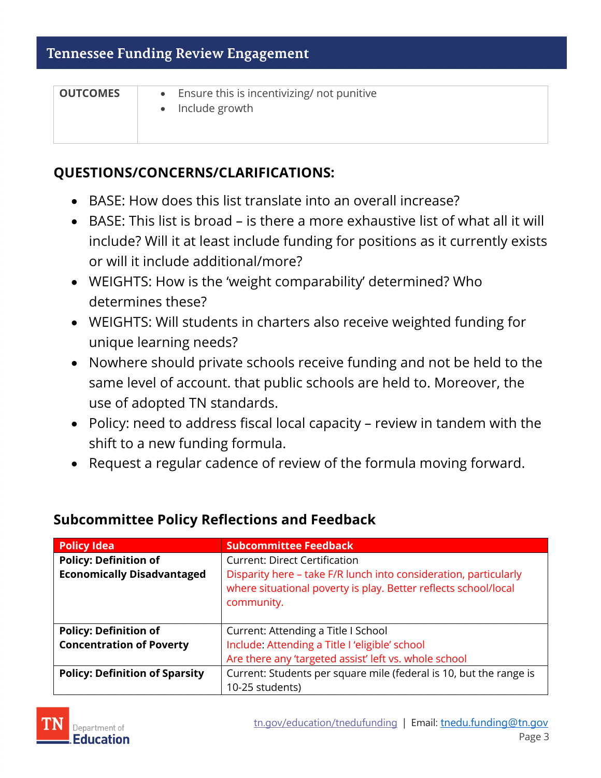| <b>OUTCOMES</b> | • Ensure this is incentivizing/ not punitive<br>• Include growth |
|-----------------|------------------------------------------------------------------|
|                 |                                                                  |

#### **QUESTIONS/CONCERNS/CLARIFICATIONS:**

- BASE: How does this list translate into an overall increase?
- BASE: This list is broad is there a more exhaustive list of what all it will include? Will it at least include funding for positions as it currently exists or will it include additional/more?
- WEIGHTS: How is the 'weight comparability' determined? Who determines these?
- WEIGHTS: Will students in charters also receive weighted funding for unique learning needs?
- Nowhere should private schools receive funding and not be held to the same level of account. that public schools are held to. Moreover, the use of adopted TN standards.
- Policy: need to address fiscal local capacity review in tandem with the shift to a new funding formula.
- Request a regular cadence of review of the formula moving forward.

| <b>Policy Idea</b>                    | <b>Subcommittee Feedback</b>                                                                                                                      |
|---------------------------------------|---------------------------------------------------------------------------------------------------------------------------------------------------|
| <b>Policy: Definition of</b>          | <b>Current: Direct Certification</b>                                                                                                              |
| <b>Economically Disadvantaged</b>     | Disparity here - take F/R lunch into consideration, particularly<br>where situational poverty is play. Better reflects school/local<br>community. |
| <b>Policy: Definition of</b>          | Current: Attending a Title I School                                                                                                               |
| <b>Concentration of Poverty</b>       | Include: Attending a Title I 'eligible' school                                                                                                    |
|                                       | Are there any 'targeted assist' left vs. whole school                                                                                             |
| <b>Policy: Definition of Sparsity</b> | Current: Students per square mile (federal is 10, but the range is                                                                                |
|                                       | 10-25 students)                                                                                                                                   |

### **Subcommittee Policy Reflections and Feedback**

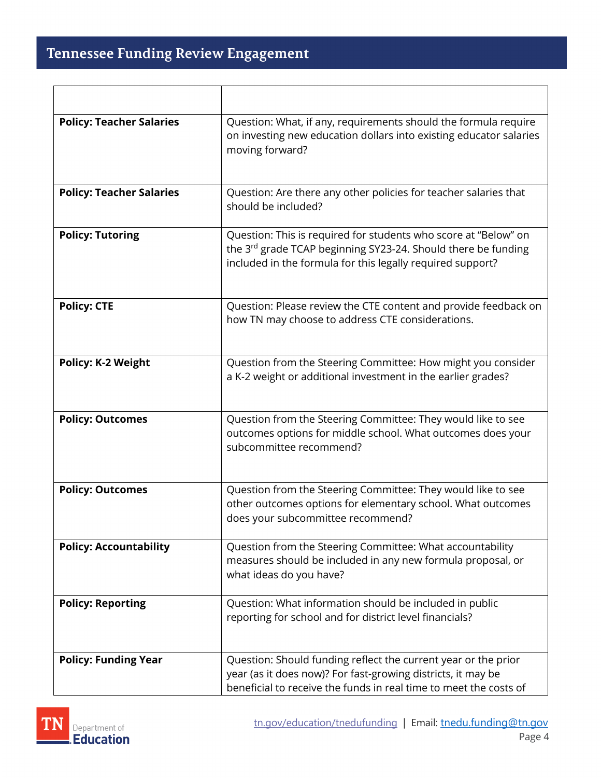## Tennessee Funding Review Engagement

ヿ

 $\overline{\Gamma}$ 

| <b>Policy: Teacher Salaries</b> | Question: What, if any, requirements should the formula require<br>on investing new education dollars into existing educator salaries<br>moving forward?                                            |
|---------------------------------|-----------------------------------------------------------------------------------------------------------------------------------------------------------------------------------------------------|
| <b>Policy: Teacher Salaries</b> | Question: Are there any other policies for teacher salaries that<br>should be included?                                                                                                             |
| <b>Policy: Tutoring</b>         | Question: This is required for students who score at "Below" on<br>the 3rd grade TCAP beginning SY23-24. Should there be funding<br>included in the formula for this legally required support?      |
| <b>Policy: CTE</b>              | Question: Please review the CTE content and provide feedback on<br>how TN may choose to address CTE considerations.                                                                                 |
| <b>Policy: K-2 Weight</b>       | Question from the Steering Committee: How might you consider<br>a K-2 weight or additional investment in the earlier grades?                                                                        |
| <b>Policy: Outcomes</b>         | Question from the Steering Committee: They would like to see<br>outcomes options for middle school. What outcomes does your<br>subcommittee recommend?                                              |
| <b>Policy: Outcomes</b>         | Question from the Steering Committee: They would like to see<br>other outcomes options for elementary school. What outcomes<br>does your subcommittee recommend?                                    |
| <b>Policy: Accountability</b>   | Question from the Steering Committee: What accountability<br>measures should be included in any new formula proposal, or<br>what ideas do you have?                                                 |
| <b>Policy: Reporting</b>        | Question: What information should be included in public<br>reporting for school and for district level financials?                                                                                  |
| <b>Policy: Funding Year</b>     | Question: Should funding reflect the current year or the prior<br>year (as it does now)? For fast-growing districts, it may be<br>beneficial to receive the funds in real time to meet the costs of |



┐